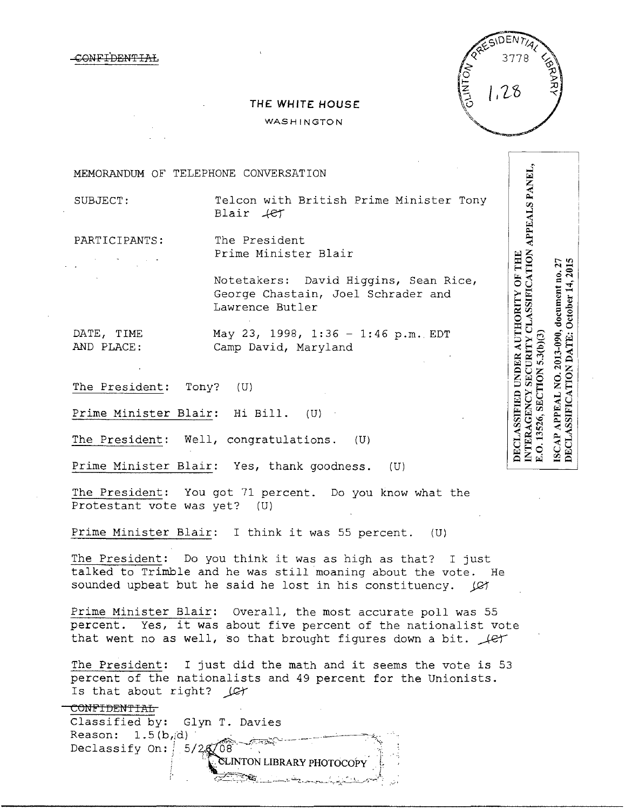CONF<del>IDENTIAL</del>



## **THE WHITE HOUSE**

WASHINGTON

MEMORANDUM OF TELEPHONE CONVERSATION

SUBJECT: Telcon with British Prime Minister Tony  $Blair$   $4$ er

PARTICIPANTS: The President Prime Minister Blair

> Notetakers: David Higgins, Sean Rice, George Chastain, Joel Schrader and Lawrence Butler

DATE, TIME May 23, 1998, 1:36 - 1:46 p.m. EDT AND PLACE: Camp David, Maryland

The President: Tony? (U)

Prime Minister Blair: Hi Bill. (U)

The President: Well, congratulations. (U)

Prime Minister Blair: Yes, thank goodness. (U)

The President: You got 71 percent. Do you know what the Protestant vote was yet? (U)

Prime Minister Blair: I think it was 55 percent. (U)

The President: Do you think it was as high as that? I just talked to Trimble and he was still moaning about the vote. He sounded upbeat but he said he lost in his constituency. *JCT* 

Prime Minister Blair: Overall, the most accurate poll was 55 percent. Yes, it was about five percent of the nationalist vote that went no as well, so that brought figures down a bit.  $\mathcal{L}$ 

The President: I just did the math and it seems the vote is 53 percent of the nationalists and 49 percent for the Unionists. Is that about right? *)Qr* 

{:-~-'- ~-' \_\_\_,\_ ~-'--'~ --=-~, \_...\_·r·...-----,...:;;,~...,\_\_:~.\_,....r,""~· *:* 

## CONFIDENTIAL

Classified by: Glyn T. Davies Classified by: Glyn T. Davies<br>Reason: 1.5(b,d)<br>Declassify On: 5/2, 08 CLINTON LIBRARY PHOTOCOPY

**NTERAGENCY SECURITY CLASSIFICATION APPEALS PANEL,** DECLASSIFIED UNDER AUTHORITY OF THE ISCAP APPEAL NO. 2013-090, document no. 27 DECLASSIFICATION DATE: October 14, 2015 E.O. 13526, SECTION 5.3(b)(3)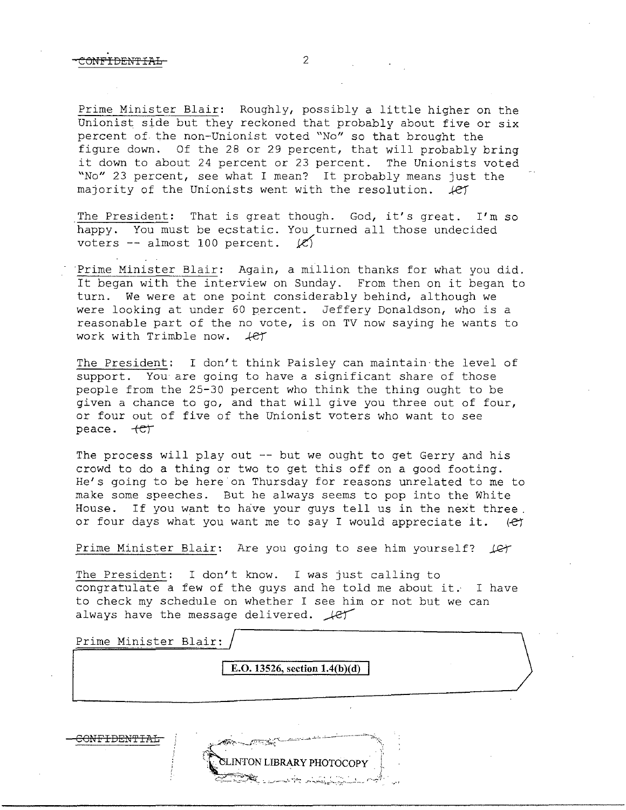Prime Minister Blair: Roughly, possibly a little higher on the Unionist side but they reckoned that probably about five or six percent of the non-Unionist voted "No" so that brought the figure down. Of the 28 or 29 percent, that will probably bring it down to about 24 percent or 23 percent. The Unionists voted "No" 23 percent, see what I mean? It probably means just the majority of the Unionists went with the resolution.  $\text{LET}$ 

The President: That is great though. God, it's great. I'm so happy. You must be ecstatic. You turned all those undecided voters  $-$  almost 100 percent.  $\mathcal{C}$ 

Prime Minister Blair: Again, a million thanks for what you did. It began with the interview on Sunday. From then on it began to turn. We were at one point considerably behind, although we were looking at under 60 percent. Jeffery Donaldson, who is a reasonable part of the no vote, is on TV now saying he wants to work with Trimble now.  $4e^{t}$ 

The President: I don't think Paisley can maintain the level of support. You are going to have a significant share of those people from the 25-30 percent who think the thing ought to be given a chance to go, and that will give you three out of four, or four out of five of the Unionist voters who want to see peace.  $+CT$ 

The process will play out -- but we ought to get Gerry and his crowd to do a thing or two to get this off on a good footing. He's going to be here on Thursday for reasons unrelated to me to make some speeches. But he always seems to pop into the White House. If you want to have your guys tell us in the next three. or four days what you want me to say I would appreciate it. *(-e}* 

Prime Minister Blair: Are you going to see him yourself? *J&T* 

The President: I don't know. I was just calling to congratulate a few of the guys and he told me about it. I have to check my schedule on whether I see him or not but we can always have the message delivered.  $\text{Ler}$ 

| Prime Minister Blair: |                                                                                                       |  |
|-----------------------|-------------------------------------------------------------------------------------------------------|--|
|                       | E.O. 13526, section $1.4(b)(d)$                                                                       |  |
|                       |                                                                                                       |  |
|                       | وأريب والمتحصص والمستحصر والمستحصلة المستقد المساعدة التحقيقيين<br>and the common state of the common |  |

INTON LIBRARY PHOTOCOPY ·~:~~~'.- :. ,\_,·-··'"'""'-··~.: .r-~,;~~=~·~.:~;..\_.:\_,.:\_J *,--.\_.:.1 ..* .,·•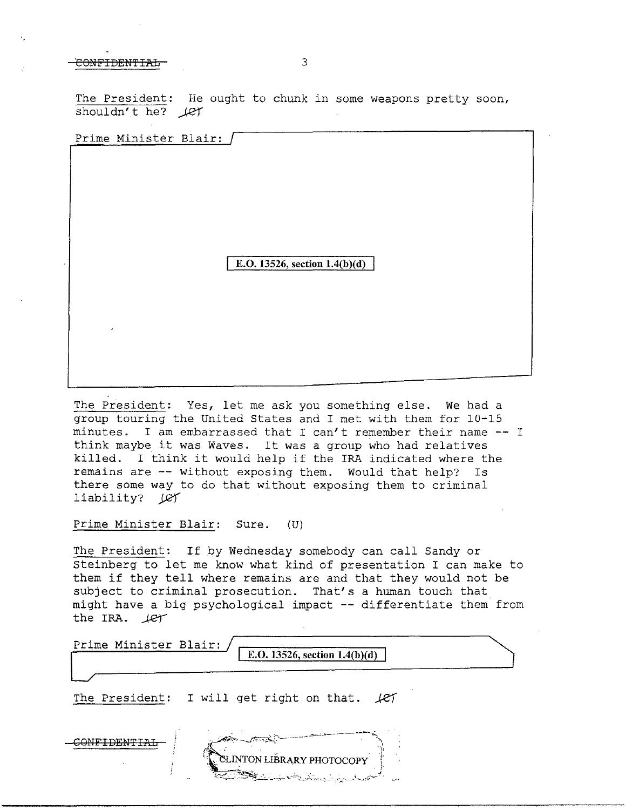CONFIDENTIAL 3

The President: He ought to chunk in some weapons pretty soon, shouldn't he?  $\text{Let }$ 

Prime Minister Blair:

E.O. 13526, section 1.4(b)(d)

The President: Yes, let me ask you something else. We had a group touring the United States and I met with them for 10-15 minutes. I am embarrassed that I can't remember their name - I think maybe it was Waves. It was a group who had relatives killed. I think it would help if the IRA indicated where the remains are -- without exposing them. Would that help? Is there some way to do that without exposing them to criminal liability? Let

Prime Minister Blair: Sure. (U)

The President: If by Wednesday somebody can call Sandy or Steinberg to let me know what kind of presentation I can make to them if they tell where remains are and that they would not be subject to criminal prosecution. That's a human touch that might have a big psychological impact -- differentiate them from the IRA.  $left$ 

Prime Minister Blair: E.O. 13526, section 1.4(b)(d) The President: I will get right on that. *Je'}*   $\sub{COMFIDENFTAH}$ **TON LIBRARY PHOTOCOPY**